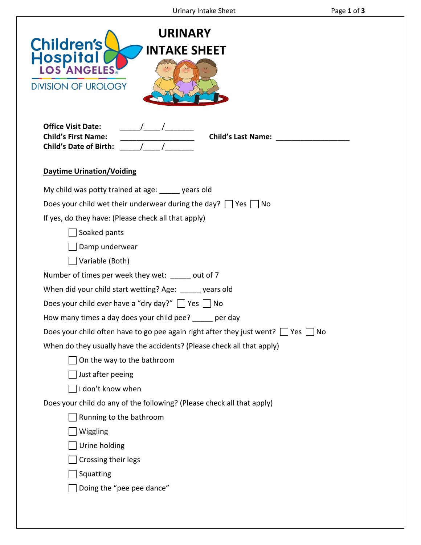| <b>URINARY</b><br><b>Children's</b><br><b>INTAKE SHEET</b><br>Hospital<br><b>DIVISION OF UROLOGY</b>                                                                                                                                                                                                                                                                                                                                                                                                                                                                                                                                                                                                                                                                                                                                                                                     |
|------------------------------------------------------------------------------------------------------------------------------------------------------------------------------------------------------------------------------------------------------------------------------------------------------------------------------------------------------------------------------------------------------------------------------------------------------------------------------------------------------------------------------------------------------------------------------------------------------------------------------------------------------------------------------------------------------------------------------------------------------------------------------------------------------------------------------------------------------------------------------------------|
| <b>Office Visit Date:</b><br><b>Child's First Name:</b><br><b>Child's Date of Birth:</b>                                                                                                                                                                                                                                                                                                                                                                                                                                                                                                                                                                                                                                                                                                                                                                                                 |
| <b>Daytime Urination/Voiding</b>                                                                                                                                                                                                                                                                                                                                                                                                                                                                                                                                                                                                                                                                                                                                                                                                                                                         |
| My child was potty trained at age: vears old<br>Does your child wet their underwear during the day? $\Box$ Yes $\Box$ No<br>If yes, do they have: (Please check all that apply)<br>Soaked pants<br>Damp underwear<br>Variable (Both)<br>Number of times per week they wet: _____ out of 7<br>When did your child start wetting? Age: _____ years old<br>Does your child ever have a "dry day?" $\Box$ Yes $\Box$ No<br>How many times a day does your child pee? _____ per day<br>Does your child often have to go pee again right after they just went? $\Box$ Yes $\Box$ No<br>When do they usually have the accidents? (Please check all that apply)<br>On the way to the bathroom<br>Just after peeing<br>I don't know when<br>Does your child do any of the following? (Please check all that apply)<br>Running to the bathroom<br>Wiggling<br>Urine holding<br>Crossing their legs |
| Squatting<br>Doing the "pee pee dance"                                                                                                                                                                                                                                                                                                                                                                                                                                                                                                                                                                                                                                                                                                                                                                                                                                                   |
|                                                                                                                                                                                                                                                                                                                                                                                                                                                                                                                                                                                                                                                                                                                                                                                                                                                                                          |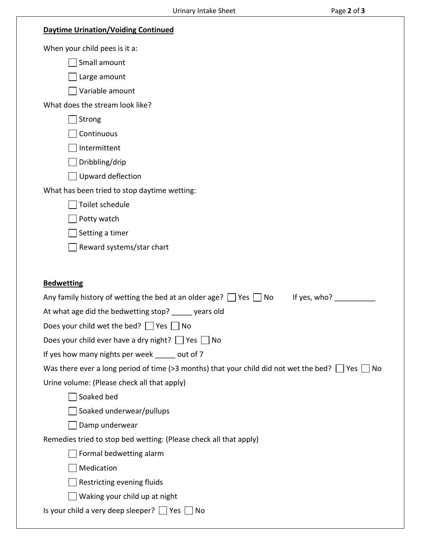| <b>Daytime Urination/Voiding Continued</b>                                                                                                                |
|-----------------------------------------------------------------------------------------------------------------------------------------------------------|
| When your child pees is it a:                                                                                                                             |
| Small amount                                                                                                                                              |
| Large amount                                                                                                                                              |
| Variable amount                                                                                                                                           |
| What does the stream look like?                                                                                                                           |
| Strong                                                                                                                                                    |
| Continuous                                                                                                                                                |
| Intermittent                                                                                                                                              |
| Dribbling/drip                                                                                                                                            |
| Upward deflection                                                                                                                                         |
| What has been tried to stop daytime wetting:                                                                                                              |
| Toilet schedule                                                                                                                                           |
| Potty watch                                                                                                                                               |
| Setting a timer                                                                                                                                           |
| Reward systems/star chart                                                                                                                                 |
|                                                                                                                                                           |
| <b>Bedwetting</b>                                                                                                                                         |
|                                                                                                                                                           |
|                                                                                                                                                           |
| If yes, who?<br>Any family history of wetting the bed at an older age? $\Box$ Yes $\Box$ No                                                               |
| At what age did the bedwetting stop? ______ years old                                                                                                     |
| Does your child wet the bed? $\Box$ Yes $\Box$ No                                                                                                         |
| Does your child ever have a dry night? $\Box$ Yes $\Box$ No                                                                                               |
| If yes how many nights per week _____ out of 7                                                                                                            |
| Was there ever a long period of time (>3 months) that your child did not wet the bed? $\Box$ Yes $\Box$ No<br>Urine volume: (Please check all that apply) |
| Soaked bed                                                                                                                                                |
| Soaked underwear/pullups                                                                                                                                  |
| Damp underwear                                                                                                                                            |
| Remedies tried to stop bed wetting: (Please check all that apply)                                                                                         |
| Formal bedwetting alarm                                                                                                                                   |
| Medication                                                                                                                                                |
| Restricting evening fluids                                                                                                                                |
| Waking your child up at night                                                                                                                             |
| Is your child a very deep sleeper? $\Box$ Yes $\Box$ No                                                                                                   |